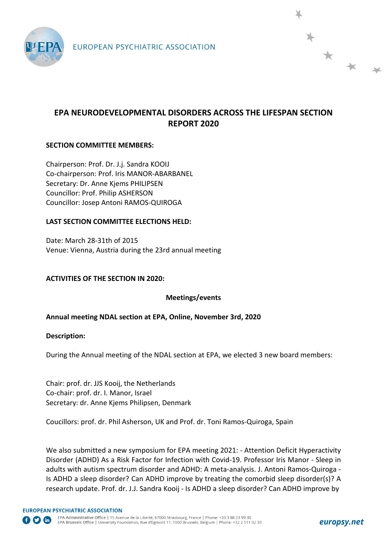

# **EPA NEURODEVELOPMENTAL DISORDERS ACROSS THE LIFESPAN SECTION REPORT 2020**

## **SECTION COMMITTEE MEMBERS:**

Chairperson: Prof. Dr. J.j. Sandra KOOIJ Co-chairperson: Prof. Iris MANOR-ABARBANEL Secretary: Dr. Anne Kjems PHILIPSEN Councillor: Prof. Philip ASHERSON Councillor: Josep Antoni RAMOS-QUIROGA

### **LAST SECTION COMMITTEE ELECTIONS HELD:**

Date: March 28-31th of 2015 Venue: Vienna, Austria during the 23rd annual meeting

### **ACTIVITIES OF THE SECTION IN 2020:**

### **Meetings/events**

### **Annual meeting NDAL section at EPA, Online, November 3rd, 2020**

#### **Description:**

During the Annual meeting of the NDAL section at EPA, we elected 3 new board members:

Chair: prof. dr. JJS Kooij, the Netherlands Co-chair: prof. dr. I. Manor, Israel Secretary: dr. Anne Kjems Philipsen, Denmark

Coucillors: prof. dr. Phil Asherson, UK and Prof. dr. Toni Ramos-Quiroga, Spain

We also submitted a new symposium for EPA meeting 2021: - Attention Deficit Hyperactivity Disorder (ADHD) As a Risk Factor for Infection with Covid-19. Professor Iris Manor - Sleep in adults with autism spectrum disorder and ADHD: A meta-analysis. J. Antoni Ramos-Quiroga - Is ADHD a sleep disorder? Can ADHD improve by treating the comorbid sleep disorder(s)? A research update. Prof. dr. J.J. Sandra Kooij - Is ADHD a sleep disorder? Can ADHD improve by

\* \* \*